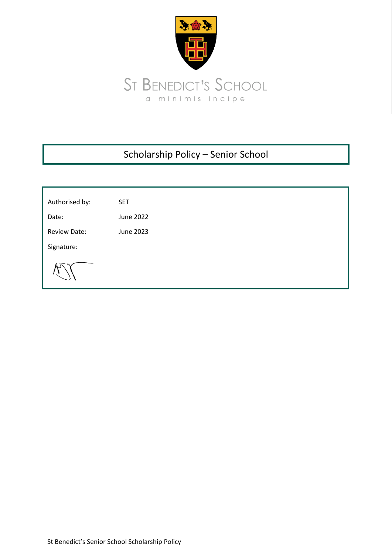

# Scholarship Policy – Senior School

| Authorised by: | <b>SET</b> |
|----------------|------------|
| Date:          | June 2022  |
| Review Date:   | June 2023  |
| Signature:     |            |
|                |            |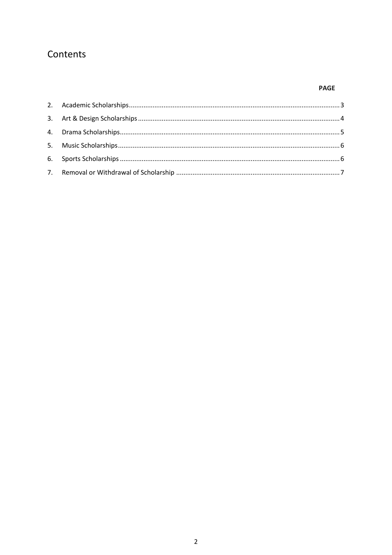## Contents

### **PAGE**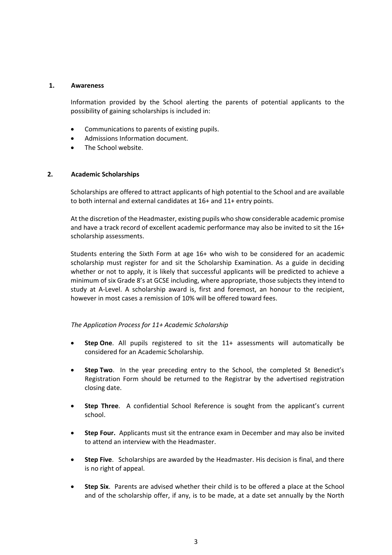#### **1. Awareness**

Information provided by the School alerting the parents of potential applicants to the possibility of gaining scholarships is included in:

- Communications to parents of existing pupils.
- Admissions Information document.
- The School website.

#### <span id="page-2-0"></span>**2. Academic Scholarships**

Scholarships are offered to attract applicants of high potential to the School and are available to both internal and external candidates at 16+ and 11+ entry points.

At the discretion of the Headmaster, existing pupils who show considerable academic promise and have a track record of excellent academic performance may also be invited to sit the 16+ scholarship assessments.

Students entering the Sixth Form at age 16+ who wish to be considered for an academic scholarship must register for and sit the Scholarship Examination. As a guide in deciding whether or not to apply, it is likely that successful applicants will be predicted to achieve a minimum of six Grade 8's at GCSE including, where appropriate, those subjects they intend to study at A-Level. A scholarship award is, first and foremost, an honour to the recipient, however in most cases a remission of 10% will be offered toward fees.

#### *The Application Process for 11+ Academic Scholarship*

- **Step One**. All pupils registered to sit the 11+ assessments will automatically be considered for an Academic Scholarship.
- **Step Two**. In the year preceding entry to the School, the completed St Benedict's Registration Form should be returned to the Registrar by the advertised registration closing date.
- **Step Three**. A confidential School Reference is sought from the applicant's current school.
- **Step Four.** Applicants must sit the entrance exam in December and may also be invited to attend an interview with the Headmaster.
- **Step Five**. Scholarships are awarded by the Headmaster. His decision is final, and there is no right of appeal.
- **Step Six**. Parents are advised whether their child is to be offered a place at the School and of the scholarship offer, if any, is to be made, at a date set annually by the North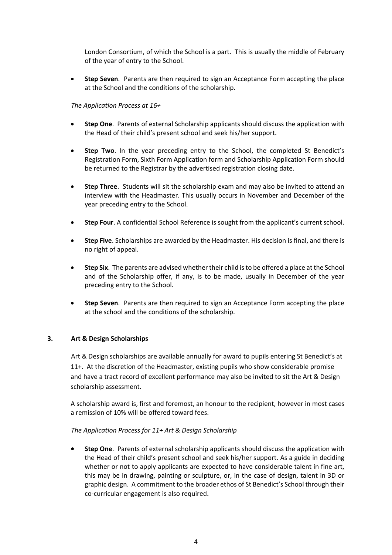London Consortium, of which the School is a part. This is usually the middle of February of the year of entry to the School.

• **Step Seven**. Parents are then required to sign an Acceptance Form accepting the place at the School and the conditions of the scholarship.

#### *The Application Process at 16+*

- **Step One**. Parents of external Scholarship applicants should discuss the application with the Head of their child's present school and seek his/her support.
- **Step Two**. In the year preceding entry to the School, the completed St Benedict's Registration Form, Sixth Form Application form and Scholarship Application Form should be returned to the Registrar by the advertised registration closing date.
- **Step Three**. Students will sit the scholarship exam and may also be invited to attend an interview with the Headmaster. This usually occurs in November and December of the year preceding entry to the School.
- **Step Four**. A confidential School Reference is sought from the applicant's current school.
- **Step Five**. Scholarships are awarded by the Headmaster. His decision is final, and there is no right of appeal.
- **Step Six**. The parents are advised whether their child is to be offered a place at the School and of the Scholarship offer, if any, is to be made, usually in December of the year preceding entry to the School.
- **Step Seven**. Parents are then required to sign an Acceptance Form accepting the place at the school and the conditions of the scholarship.

#### <span id="page-3-0"></span>**3. Art & Design Scholarships**

Art & Design scholarships are available annually for award to pupils entering St Benedict's at 11+. At the discretion of the Headmaster, existing pupils who show considerable promise and have a tract record of excellent performance may also be invited to sit the Art & Design scholarship assessment.

A scholarship award is, first and foremost, an honour to the recipient, however in most cases a remission of 10% will be offered toward fees.

#### *The Application Process for 11+ Art & Design Scholarship*

• **Step One**. Parents of external scholarship applicants should discuss the application with the Head of their child's present school and seek his/her support. As a guide in deciding whether or not to apply applicants are expected to have considerable talent in fine art, this may be in drawing, painting or sculpture, or, in the case of design, talent in 3D or graphic design. A commitment to the broader ethos of St Benedict's School through their co-curricular engagement is also required.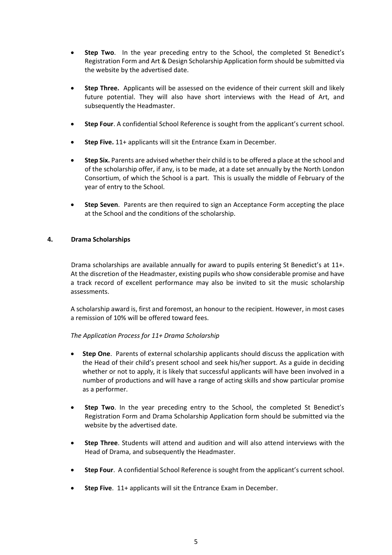- **Step Two**. In the year preceding entry to the School, the completed St Benedict's Registration Form and Art & Design Scholarship Application form should be submitted via the website by the advertised date.
- **Step Three.** Applicants will be assessed on the evidence of their current skill and likely future potential. They will also have short interviews with the Head of Art, and subsequently the Headmaster.
- **Step Four**. A confidential School Reference is sought from the applicant's current school.
- **Step Five.** 11+ applicants will sit the Entrance Exam in December.
- **Step Six.** Parents are advised whether their child is to be offered a place at the school and of the scholarship offer, if any, is to be made, at a date set annually by the North London Consortium, of which the School is a part. This is usually the middle of February of the year of entry to the School.
- **Step Seven**. Parents are then required to sign an Acceptance Form accepting the place at the School and the conditions of the scholarship.

#### <span id="page-4-0"></span>**4. Drama Scholarships**

Drama scholarships are available annually for award to pupils entering St Benedict's at 11+. At the discretion of the Headmaster, existing pupils who show considerable promise and have a track record of excellent performance may also be invited to sit the music scholarship assessments.

A scholarship award is, first and foremost, an honour to the recipient. However, in most cases a remission of 10% will be offered toward fees.

#### *The Application Process for 11+ Drama Scholarship*

- **Step One**. Parents of external scholarship applicants should discuss the application with the Head of their child's present school and seek his/her support. As a guide in deciding whether or not to apply, it is likely that successful applicants will have been involved in a number of productions and will have a range of acting skills and show particular promise as a performer.
- **Step Two**. In the year preceding entry to the School, the completed St Benedict's Registration Form and Drama Scholarship Application form should be submitted via the website by the advertised date.
- **Step Three**. Students will attend and audition and will also attend interviews with the Head of Drama, and subsequently the Headmaster.
- **Step Four**. A confidential School Reference is sought from the applicant's current school.
- **Step Five**. 11+ applicants will sit the Entrance Exam in December.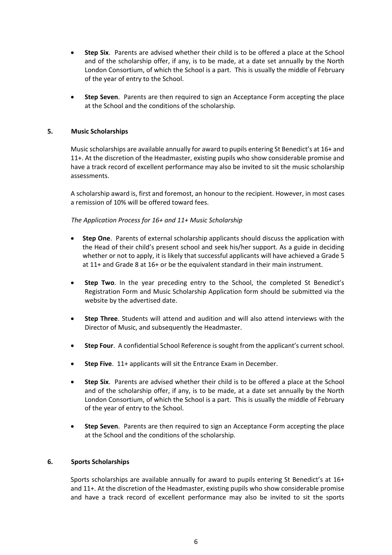- **Step Six**. Parents are advised whether their child is to be offered a place at the School and of the scholarship offer, if any, is to be made, at a date set annually by the North London Consortium, of which the School is a part. This is usually the middle of February of the year of entry to the School.
- **Step Seven**. Parents are then required to sign an Acceptance Form accepting the place at the School and the conditions of the scholarship.

#### <span id="page-5-0"></span>**5. Music Scholarships**

Music scholarships are available annually for award to pupils entering St Benedict's at 16+ and 11+. At the discretion of the Headmaster, existing pupils who show considerable promise and have a track record of excellent performance may also be invited to sit the music scholarship assessments.

A scholarship award is, first and foremost, an honour to the recipient. However, in most cases a remission of 10% will be offered toward fees.

#### *The Application Process for 16+ and 11+ Music Scholarship*

- **Step One**. Parents of external scholarship applicants should discuss the application with the Head of their child's present school and seek his/her support. As a guide in deciding whether or not to apply, it is likely that successful applicants will have achieved a Grade 5 at 11+ and Grade 8 at 16+ or be the equivalent standard in their main instrument.
- **Step Two**. In the year preceding entry to the School, the completed St Benedict's Registration Form and Music Scholarship Application form should be submitted via the website by the advertised date.
- **Step Three**. Students will attend and audition and will also attend interviews with the Director of Music, and subsequently the Headmaster.
- **Step Four**. A confidential School Reference is sought from the applicant's current school.
- **Step Five**. 11+ applicants will sit the Entrance Exam in December.
- **Step Six**. Parents are advised whether their child is to be offered a place at the School and of the scholarship offer, if any, is to be made, at a date set annually by the North London Consortium, of which the School is a part. This is usually the middle of February of the year of entry to the School.
- **Step Seven**. Parents are then required to sign an Acceptance Form accepting the place at the School and the conditions of the scholarship.

#### <span id="page-5-1"></span>**6. Sports Scholarships**

Sports scholarships are available annually for award to pupils entering St Benedict's at 16+ and 11+. At the discretion of the Headmaster, existing pupils who show considerable promise and have a track record of excellent performance may also be invited to sit the sports